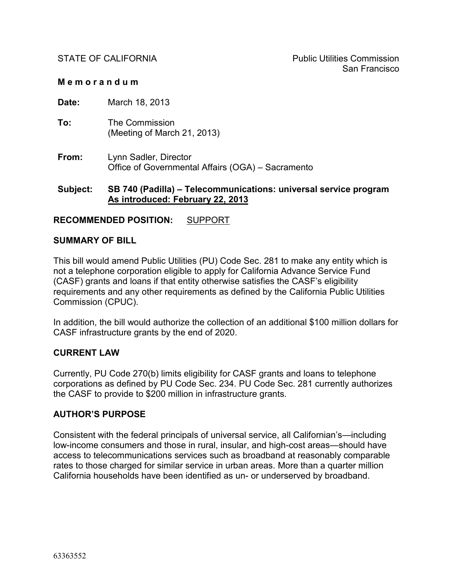#### **M e m o r a n d u m**

**Date:** March 18, 2013

- **To:** The Commission (Meeting of March 21, 2013)
- **From:** Lynn Sadler, Director Office of Governmental Affairs (OGA) – Sacramento

#### **Subject: SB 740 (Padilla) – Telecommunications: universal service program As introduced: February 22, 2013**

#### **RECOMMENDED POSITION:** SUPPORT

#### **SUMMARY OF BILL**

This bill would amend Public Utilities (PU) Code Sec. 281 to make any entity which is not a telephone corporation eligible to apply for California Advance Service Fund (CASF) grants and loans if that entity otherwise satisfies the CASF's eligibility requirements and any other requirements as defined by the California Public Utilities Commission (CPUC).

In addition, the bill would authorize the collection of an additional \$100 million dollars for CASF infrastructure grants by the end of 2020.

#### **CURRENT LAW**

Currently, PU Code 270(b) limits eligibility for CASF grants and loans to telephone corporations as defined by PU Code Sec. 234. PU Code Sec. 281 currently authorizes the CASF to provide to \$200 million in infrastructure grants.

#### **AUTHOR'S PURPOSE**

Consistent with the federal principals of universal service, all Californian's—including low-income consumers and those in rural, insular, and high-cost areas—should have access to telecommunications services such as broadband at reasonably comparable rates to those charged for similar service in urban areas. More than a quarter million California households have been identified as un- or underserved by broadband.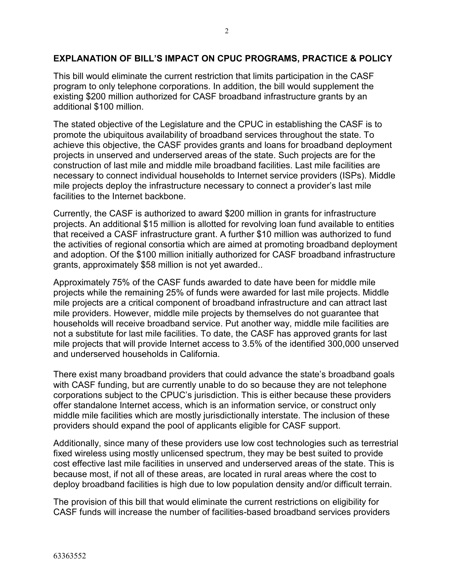#### **EXPLANATION OF BILL'S IMPACT ON CPUC PROGRAMS, PRACTICE & POLICY**

This bill would eliminate the current restriction that limits participation in the CASF program to only telephone corporations. In addition, the bill would supplement the existing \$200 million authorized for CASF broadband infrastructure grants by an additional \$100 million.

The stated objective of the Legislature and the CPUC in establishing the CASF is to promote the ubiquitous availability of broadband services throughout the state. To achieve this objective, the CASF provides grants and loans for broadband deployment projects in unserved and underserved areas of the state. Such projects are for the construction of last mile and middle mile broadband facilities. Last mile facilities are necessary to connect individual households to Internet service providers (ISPs). Middle mile projects deploy the infrastructure necessary to connect a provider's last mile facilities to the Internet backbone.

Currently, the CASF is authorized to award \$200 million in grants for infrastructure projects. An additional \$15 million is allotted for revolving loan fund available to entities that received a CASF infrastructure grant. A further \$10 million was authorized to fund the activities of regional consortia which are aimed at promoting broadband deployment and adoption. Of the \$100 million initially authorized for CASF broadband infrastructure grants, approximately \$58 million is not yet awarded..

Approximately 75% of the CASF funds awarded to date have been for middle mile projects while the remaining 25% of funds were awarded for last mile projects. Middle mile projects are a critical component of broadband infrastructure and can attract last mile providers. However, middle mile projects by themselves do not guarantee that households will receive broadband service. Put another way, middle mile facilities are not a substitute for last mile facilities. To date, the CASF has approved grants for last mile projects that will provide Internet access to 3.5% of the identified 300,000 unserved and underserved households in California.

There exist many broadband providers that could advance the state's broadband goals with CASF funding, but are currently unable to do so because they are not telephone corporations subject to the CPUC's jurisdiction. This is either because these providers offer standalone Internet access, which is an information service, or construct only middle mile facilities which are mostly jurisdictionally interstate. The inclusion of these providers should expand the pool of applicants eligible for CASF support.

Additionally, since many of these providers use low cost technologies such as terrestrial fixed wireless using mostly unlicensed spectrum, they may be best suited to provide cost effective last mile facilities in unserved and underserved areas of the state. This is because most, if not all of these areas, are located in rural areas where the cost to deploy broadband facilities is high due to low population density and/or difficult terrain.

The provision of this bill that would eliminate the current restrictions on eligibility for CASF funds will increase the number of facilities-based broadband services providers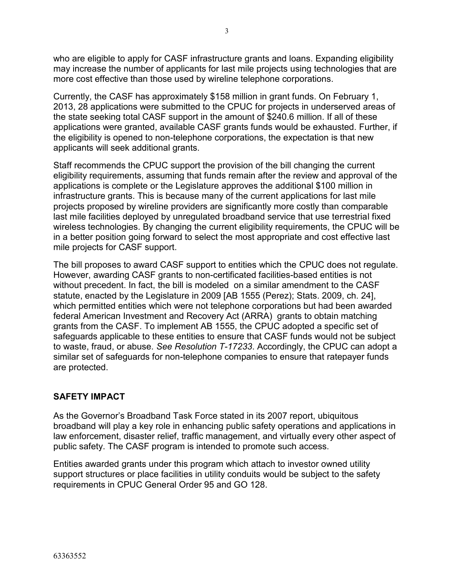who are eligible to apply for CASF infrastructure grants and loans. Expanding eligibility may increase the number of applicants for last mile projects using technologies that are more cost effective than those used by wireline telephone corporations.

Currently, the CASF has approximately \$158 million in grant funds. On February 1, 2013, 28 applications were submitted to the CPUC for projects in underserved areas of the state seeking total CASF support in the amount of \$240.6 million. If all of these applications were granted, available CASF grants funds would be exhausted. Further, if the eligibility is opened to non-telephone corporations, the expectation is that new applicants will seek additional grants.

Staff recommends the CPUC support the provision of the bill changing the current eligibility requirements, assuming that funds remain after the review and approval of the applications is complete or the Legislature approves the additional \$100 million in infrastructure grants. This is because many of the current applications for last mile projects proposed by wireline providers are significantly more costly than comparable last mile facilities deployed by unregulated broadband service that use terrestrial fixed wireless technologies. By changing the current eligibility requirements, the CPUC will be in a better position going forward to select the most appropriate and cost effective last mile projects for CASF support.

The bill proposes to award CASF support to entities which the CPUC does not regulate. However, awarding CASF grants to non-certificated facilities-based entities is not without precedent. In fact, the bill is modeled on a similar amendment to the CASF statute, enacted by the Legislature in 2009 [AB 1555 (Perez); Stats. 2009, ch. 24], which permitted entities which were not telephone corporations but had been awarded federal American Investment and Recovery Act (ARRA) grants to obtain matching grants from the CASF. To implement AB 1555, the CPUC adopted a specific set of safeguards applicable to these entities to ensure that CASF funds would not be subject to waste, fraud, or abuse. *See Resolution T-17233*. Accordingly, the CPUC can adopt a similar set of safeguards for non-telephone companies to ensure that ratepayer funds are protected.

# **SAFETY IMPACT**

As the Governor's Broadband Task Force stated in its 2007 report, ubiquitous broadband will play a key role in enhancing public safety operations and applications in law enforcement, disaster relief, traffic management, and virtually every other aspect of public safety. The CASF program is intended to promote such access.

Entities awarded grants under this program which attach to investor owned utility support structures or place facilities in utility conduits would be subject to the safety requirements in CPUC General Order 95 and GO 128.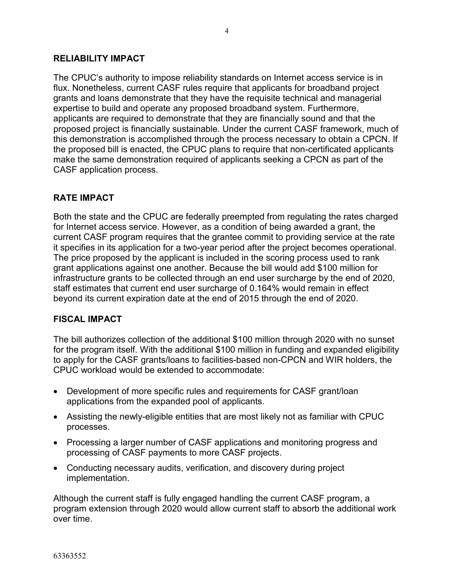#### **RELIABILITY IMPACT**

The CPUC's authority to impose reliability standards on Internet access service is in flux. Nonetheless, current CASF rules require that applicants for broadband project grants and loans demonstrate that they have the requisite technical and managerial expertise to build and operate any proposed broadband system. Furthermore, applicants are required to demonstrate that they are financially sound and that the proposed project is financially sustainable. Under the current CASF framework, much of this demonstration is accomplished through the process necessary to obtain a CPCN. If the proposed bill is enacted, the CPUC plans to require that non-certificated applicants make the same demonstration required of applicants seeking a CPCN as part of the CASF application process.

#### **RATE IMPACT**

Both the state and the CPUC are federally preempted from regulating the rates charged for Internet access service. However, as a condition of being awarded a grant, the current CASF program requires that the grantee commit to providing service at the rate it specifies in its application for a two-year period after the project becomes operational. The price proposed by the applicant is included in the scoring process used to rank grant applications against one another. Because the bill would add \$100 million for infrastructure grants to be collected through an end user surcharge by the end of 2020, staff estimates that current end user surcharge of 0.164% would remain in effect beyond its current expiration date at the end of 2015 through the end of 2020.

#### **FISCAL IMPACT**

The bill authorizes collection of the additional \$100 million through 2020 with no sunset for the program itself. With the additional \$100 million in funding and expanded eligibility to apply for the CASF grants/loans to facilities-based non-CPCN and WIR holders, the CPUC workload would be extended to accommodate:

- Development of more specific rules and requirements for CASF grant/loan applications from the expanded pool of applicants.
- Assisting the newly-eligible entities that are most likely not as familiar with CPUC processes.
- Processing a larger number of CASF applications and monitoring progress and processing of CASF payments to more CASF projects.
- Conducting necessary audits, verification, and discovery during project implementation.

Although the current staff is fully engaged handling the current CASF program, a program extension through 2020 would allow current staff to absorb the additional work over time.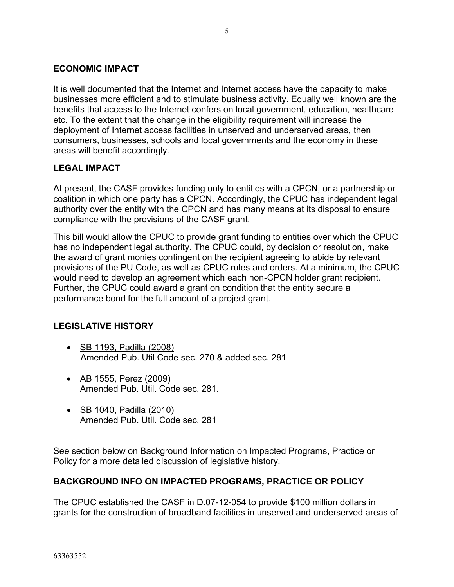#### **ECONOMIC IMPACT**

It is well documented that the Internet and Internet access have the capacity to make businesses more efficient and to stimulate business activity. Equally well known are the benefits that access to the Internet confers on local government, education, healthcare etc. To the extent that the change in the eligibility requirement will increase the deployment of Internet access facilities in unserved and underserved areas, then consumers, businesses, schools and local governments and the economy in these areas will benefit accordingly.

#### **LEGAL IMPACT**

At present, the CASF provides funding only to entities with a CPCN, or a partnership or coalition in which one party has a CPCN. Accordingly, the CPUC has independent legal authority over the entity with the CPCN and has many means at its disposal to ensure compliance with the provisions of the CASF grant.

This bill would allow the CPUC to provide grant funding to entities over which the CPUC has no independent legal authority. The CPUC could, by decision or resolution, make the award of grant monies contingent on the recipient agreeing to abide by relevant provisions of the PU Code, as well as CPUC rules and orders. At a minimum, the CPUC would need to develop an agreement which each non-CPCN holder grant recipient. Further, the CPUC could award a grant on condition that the entity secure a performance bond for the full amount of a project grant.

# **LEGISLATIVE HISTORY**

- SB 1193, Padilla (2008) Amended Pub. Util Code sec. 270 & added sec. 281
- AB 1555, Perez (2009) Amended Pub. Util. Code sec. 281.
- SB 1040, Padilla (2010) Amended Pub. Util. Code sec. 281

See section below on Background Information on Impacted Programs, Practice or Policy for a more detailed discussion of legislative history.

#### **BACKGROUND INFO ON IMPACTED PROGRAMS, PRACTICE OR POLICY**

The CPUC established the CASF in D.07-12-054 to provide \$100 million dollars in grants for the construction of broadband facilities in unserved and underserved areas of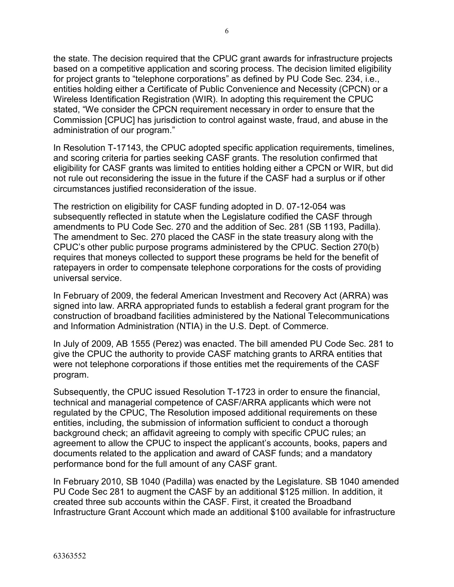the state. The decision required that the CPUC grant awards for infrastructure projects based on a competitive application and scoring process. The decision limited eligibility for project grants to "telephone corporations" as defined by PU Code Sec. 234, i.e., entities holding either a Certificate of Public Convenience and Necessity (CPCN) or a Wireless Identification Registration (WIR). In adopting this requirement the CPUC stated, "We consider the CPCN requirement necessary in order to ensure that the Commission [CPUC] has jurisdiction to control against waste, fraud, and abuse in the administration of our program."

In Resolution T-17143, the CPUC adopted specific application requirements, timelines, and scoring criteria for parties seeking CASF grants. The resolution confirmed that eligibility for CASF grants was limited to entities holding either a CPCN or WIR, but did not rule out reconsidering the issue in the future if the CASF had a surplus or if other circumstances justified reconsideration of the issue.

The restriction on eligibility for CASF funding adopted in D. 07-12-054 was subsequently reflected in statute when the Legislature codified the CASF through amendments to PU Code Sec. 270 and the addition of Sec. 281 (SB 1193, Padilla). The amendment to Sec. 270 placed the CASF in the state treasury along with the CPUC's other public purpose programs administered by the CPUC. Section 270(b) requires that moneys collected to support these programs be held for the benefit of ratepayers in order to compensate telephone corporations for the costs of providing universal service.

In February of 2009, the federal American Investment and Recovery Act (ARRA) was signed into law. ARRA appropriated funds to establish a federal grant program for the construction of broadband facilities administered by the National Telecommunications and Information Administration (NTIA) in the U.S. Dept. of Commerce.

In July of 2009, AB 1555 (Perez) was enacted. The bill amended PU Code Sec. 281 to give the CPUC the authority to provide CASF matching grants to ARRA entities that were not telephone corporations if those entities met the requirements of the CASF program.

Subsequently, the CPUC issued Resolution T-1723 in order to ensure the financial, technical and managerial competence of CASF/ARRA applicants which were not regulated by the CPUC, The Resolution imposed additional requirements on these entities, including, the submission of information sufficient to conduct a thorough background check; an affidavit agreeing to comply with specific CPUC rules; an agreement to allow the CPUC to inspect the applicant's accounts, books, papers and documents related to the application and award of CASF funds; and a mandatory performance bond for the full amount of any CASF grant.

In February 2010, SB 1040 (Padilla) was enacted by the Legislature. SB 1040 amended PU Code Sec 281 to augment the CASF by an additional \$125 million. In addition, it created three sub accounts within the CASF. First, it created the Broadband Infrastructure Grant Account which made an additional \$100 available for infrastructure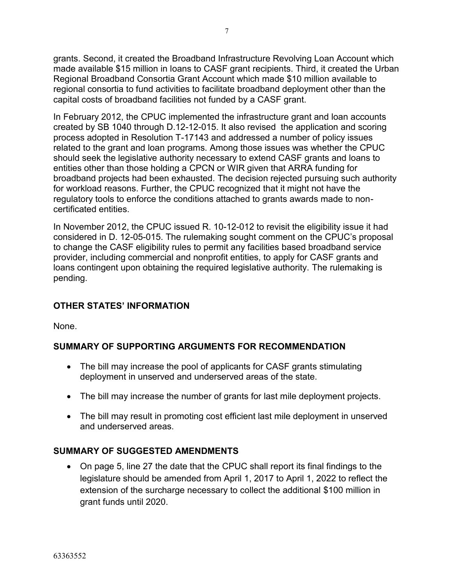grants. Second, it created the Broadband Infrastructure Revolving Loan Account which made available \$15 million in loans to CASF grant recipients. Third, it created the Urban Regional Broadband Consortia Grant Account which made \$10 million available to regional consortia to fund activities to facilitate broadband deployment other than the capital costs of broadband facilities not funded by a CASF grant.

In February 2012, the CPUC implemented the infrastructure grant and loan accounts created by SB 1040 through D.12-12-015. It also revised the application and scoring process adopted in Resolution T-17143 and addressed a number of policy issues related to the grant and loan programs. Among those issues was whether the CPUC should seek the legislative authority necessary to extend CASF grants and loans to entities other than those holding a CPCN or WIR given that ARRA funding for broadband projects had been exhausted. The decision rejected pursuing such authority for workload reasons. Further, the CPUC recognized that it might not have the regulatory tools to enforce the conditions attached to grants awards made to noncertificated entities.

In November 2012, the CPUC issued R. 10-12-012 to revisit the eligibility issue it had considered in D. 12-05-015. The rulemaking sought comment on the CPUC's proposal to change the CASF eligibility rules to permit any facilities based broadband service provider, including commercial and nonprofit entities, to apply for CASF grants and loans contingent upon obtaining the required legislative authority. The rulemaking is pending.

# **OTHER STATES' INFORMATION**

None.

# **SUMMARY OF SUPPORTING ARGUMENTS FOR RECOMMENDATION**

- The bill may increase the pool of applicants for CASF grants stimulating deployment in unserved and underserved areas of the state.
- The bill may increase the number of grants for last mile deployment projects.
- The bill may result in promoting cost efficient last mile deployment in unserved and underserved areas.

# **SUMMARY OF SUGGESTED AMENDMENTS**

 On page 5, line 27 the date that the CPUC shall report its final findings to the legislature should be amended from April 1, 2017 to April 1, 2022 to reflect the extension of the surcharge necessary to collect the additional \$100 million in grant funds until 2020.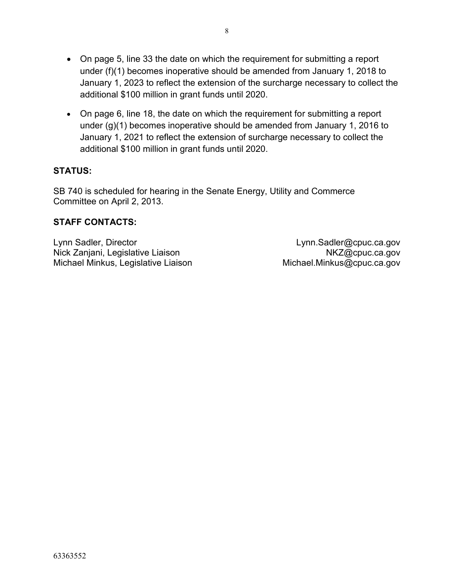- On page 5, line 33 the date on which the requirement for submitting a report under (f)(1) becomes inoperative should be amended from January 1, 2018 to January 1, 2023 to reflect the extension of the surcharge necessary to collect the additional \$100 million in grant funds until 2020.
- On page 6, line 18, the date on which the requirement for submitting a report under (g)(1) becomes inoperative should be amended from January 1, 2016 to January 1, 2021 to reflect the extension of surcharge necessary to collect the additional \$100 million in grant funds until 2020.

# **STATUS:**

SB 740 is scheduled for hearing in the Senate Energy, Utility and Commerce Committee on April 2, 2013.

#### **STAFF CONTACTS:**

Lynn Sadler, Director Nick Zanjani, Legislative Liaison Michael Minkus, Legislative Liaison

Lynn.Sadler@cpuc.ca.gov NKZ@cpuc.ca.gov Michael.Minkus@cpuc.ca.gov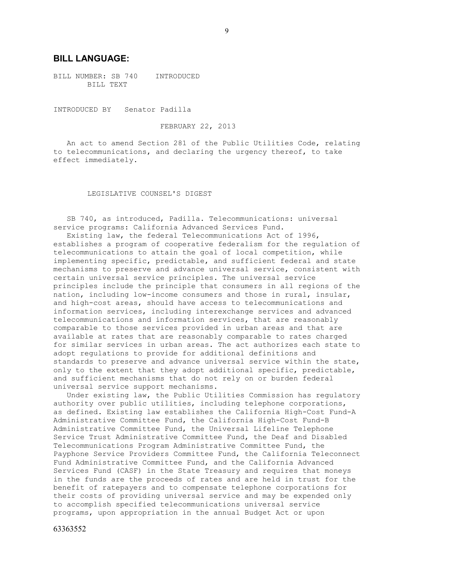#### **BILL LANGUAGE:**

BILL NUMBER: SB 740 INTRODUCED BILL TEXT

INTRODUCED BY Senator Padilla

FEBRUARY 22, 2013

 An act to amend Section 281 of the Public Utilities Code, relating to telecommunications, and declaring the urgency thereof, to take effect immediately.

LEGISLATIVE COUNSEL'S DIGEST

 SB 740, as introduced, Padilla. Telecommunications: universal service programs: California Advanced Services Fund.

 Existing law, the federal Telecommunications Act of 1996, establishes a program of cooperative federalism for the regulation of telecommunications to attain the goal of local competition, while implementing specific, predictable, and sufficient federal and state mechanisms to preserve and advance universal service, consistent with certain universal service principles. The universal service principles include the principle that consumers in all regions of the nation, including low-income consumers and those in rural, insular, and high-cost areas, should have access to telecommunications and information services, including interexchange services and advanced telecommunications and information services, that are reasonably comparable to those services provided in urban areas and that are available at rates that are reasonably comparable to rates charged for similar services in urban areas. The act authorizes each state to adopt regulations to provide for additional definitions and standards to preserve and advance universal service within the state, only to the extent that they adopt additional specific, predictable, and sufficient mechanisms that do not rely on or burden federal universal service support mechanisms.

 Under existing law, the Public Utilities Commission has regulatory authority over public utilities, including telephone corporations, as defined. Existing law establishes the California High-Cost Fund-A Administrative Committee Fund, the California High-Cost Fund-B Administrative Committee Fund, the Universal Lifeline Telephone Service Trust Administrative Committee Fund, the Deaf and Disabled Telecommunications Program Administrative Committee Fund, the Payphone Service Providers Committee Fund, the California Teleconnect Fund Administrative Committee Fund, and the California Advanced Services Fund (CASF) in the State Treasury and requires that moneys in the funds are the proceeds of rates and are held in trust for the benefit of ratepayers and to compensate telephone corporations for their costs of providing universal service and may be expended only to accomplish specified telecommunications universal service programs, upon appropriation in the annual Budget Act or upon

63363552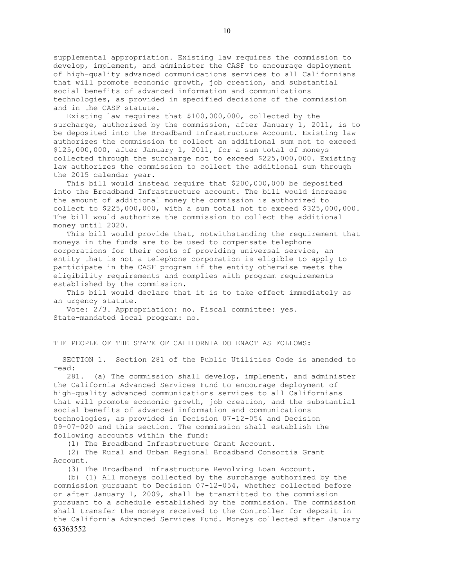supplemental appropriation. Existing law requires the commission to develop, implement, and administer the CASF to encourage deployment of high-quality advanced communications services to all Californians that will promote economic growth, job creation, and substantial social benefits of advanced information and communications technologies, as provided in specified decisions of the commission and in the CASF statute.

 Existing law requires that \$100,000,000, collected by the surcharge, authorized by the commission, after January 1, 2011, is to be deposited into the Broadband Infrastructure Account. Existing law authorizes the commission to collect an additional sum not to exceed \$125,000,000, after January 1, 2011, for a sum total of moneys collected through the surcharge not to exceed \$225,000,000. Existing law authorizes the commission to collect the additional sum through the 2015 calendar year.

 This bill would instead require that \$200,000,000 be deposited into the Broadband Infrastructure account. The bill would increase the amount of additional money the commission is authorized to collect to  $$225,000,000$ , with a sum total not to exceed  $$325,000,000$ . The bill would authorize the commission to collect the additional money until 2020.

 This bill would provide that, notwithstanding the requirement that moneys in the funds are to be used to compensate telephone corporations for their costs of providing universal service, an entity that is not a telephone corporation is eligible to apply to participate in the CASF program if the entity otherwise meets the eligibility requirements and complies with program requirements established by the commission.

 This bill would declare that it is to take effect immediately as an urgency statute.

 Vote: 2/3. Appropriation: no. Fiscal committee: yes. State-mandated local program: no.

#### THE PEOPLE OF THE STATE OF CALIFORNIA DO ENACT AS FOLLOWS:

 SECTION 1. Section 281 of the Public Utilities Code is amended to read:

 281. (a) The commission shall develop, implement, and administer the California Advanced Services Fund to encourage deployment of high-quality advanced communications services to all Californians that will promote economic growth, job creation, and the substantial social benefits of advanced information and communications technologies, as provided in Decision 07-12-054 and Decision 09-07-020 and this section. The commission shall establish the following accounts within the fund:

(1) The Broadband Infrastructure Grant Account.

 (2) The Rural and Urban Regional Broadband Consortia Grant Account.

(3) The Broadband Infrastructure Revolving Loan Account.

63363552 (b) (1) All moneys collected by the surcharge authorized by the commission pursuant to Decision 07-12-054, whether collected before or after January 1, 2009, shall be transmitted to the commission pursuant to a schedule established by the commission. The commission shall transfer the moneys received to the Controller for deposit in the California Advanced Services Fund. Moneys collected after January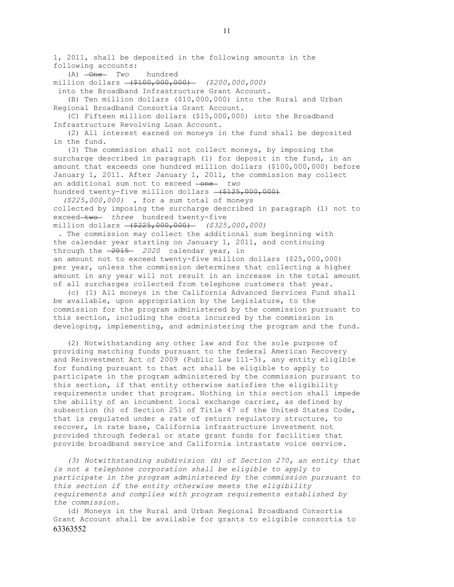1, 2011, shall be deposited in the following amounts in the following accounts:

(A) One *Two* hundred

million dollars (\$100,000,000) *(\$200,000,000)*

into the Broadband Infrastructure Grant Account.

 (B) Ten million dollars (\$10,000,000) into the Rural and Urban Regional Broadband Consortia Grant Account.

 (C) Fifteen million dollars (\$15,000,000) into the Broadband Infrastructure Revolving Loan Account.

 (2) All interest earned on moneys in the fund shall be deposited in the fund.

 (3) The commission shall not collect moneys, by imposing the surcharge described in paragraph (1) for deposit in the fund, in an amount that exceeds one hundred million dollars (\$100,000,000) before January 1, 2011. After January 1, 2011, the commission may collect an additional sum not to exceed -one- two hundred twenty-five million dollars  $-(\$125,000,000)$ 

*(\$225,000,000)* , for a sum total of moneys collected by imposing the surcharge described in paragraph (1) not to exceed two three hundred twenty-five million dollars (\$225,000,000) *(\$325,000,000)*

. The commission may collect the additional sum beginning with the calendar year starting on January 1, 2011, and continuing through the  $-2015 - 2020$  calendar year, in an amount not to exceed twenty-five million dollars (\$25,000,000) per year, unless the commission determines that collecting a higher amount in any year will not result in an increase in the total amount of all surcharges collected from telephone customers that year.

 (c) (1) All moneys in the California Advanced Services Fund shall be available, upon appropriation by the Legislature, to the commission for the program administered by the commission pursuant to this section, including the costs incurred by the commission in developing, implementing, and administering the program and the fund.

 (2) Notwithstanding any other law and for the sole purpose of providing matching funds pursuant to the federal American Recovery and Reinvestment Act of 2009 (Public Law 111-5), any entity eligible for funding pursuant to that act shall be eligible to apply to participate in the program administered by the commission pursuant to this section, if that entity otherwise satisfies the eligibility requirements under that program. Nothing in this section shall impede the ability of an incumbent local exchange carrier, as defined by subsection (h) of Section 251 of Title 47 of the United States Code, that is regulated under a rate of return regulatory structure, to recover, in rate base, California infrastructure investment not provided through federal or state grant funds for facilities that provide broadband service and California intrastate voice service.

 *(3) Notwithstanding subdivision (b) of Section 270, an entity that is not a telephone corporation shall be eligible to apply to participate in the program administered by the commission pursuant to this section if the entity otherwise meets the eligibility requirements and complies with program requirements established by the commission.* 

63363552 (d) Moneys in the Rural and Urban Regional Broadband Consortia Grant Account shall be available for grants to eligible consortia to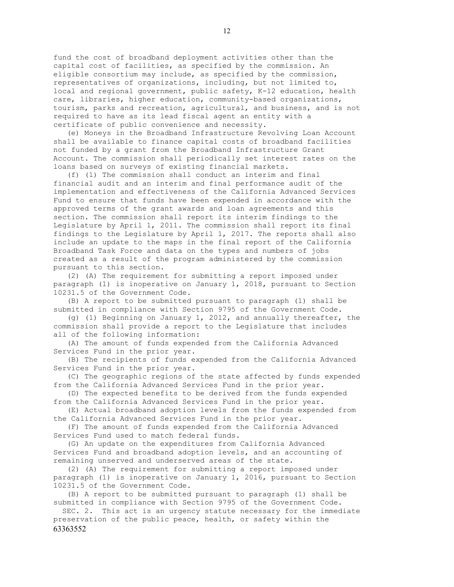fund the cost of broadband deployment activities other than the capital cost of facilities, as specified by the commission. An eligible consortium may include, as specified by the commission, representatives of organizations, including, but not limited to, local and regional government, public safety, K-12 education, health care, libraries, higher education, community-based organizations, tourism, parks and recreation, agricultural, and business, and is not required to have as its lead fiscal agent an entity with a certificate of public convenience and necessity.

 (e) Moneys in the Broadband Infrastructure Revolving Loan Account shall be available to finance capital costs of broadband facilities not funded by a grant from the Broadband Infrastructure Grant Account. The commission shall periodically set interest rates on the loans based on surveys of existing financial markets.

 (f) (1) The commission shall conduct an interim and final financial audit and an interim and final performance audit of the implementation and effectiveness of the California Advanced Services Fund to ensure that funds have been expended in accordance with the approved terms of the grant awards and loan agreements and this section. The commission shall report its interim findings to the Legislature by April 1, 2011. The commission shall report its final findings to the Legislature by April 1, 2017. The reports shall also include an update to the maps in the final report of the California Broadband Task Force and data on the types and numbers of jobs created as a result of the program administered by the commission pursuant to this section.

 (2) (A) The requirement for submitting a report imposed under paragraph (1) is inoperative on January 1, 2018, pursuant to Section 10231.5 of the Government Code.

 (B) A report to be submitted pursuant to paragraph (1) shall be submitted in compliance with Section 9795 of the Government Code.

 (g) (1) Beginning on January 1, 2012, and annually thereafter, the commission shall provide a report to the Legislature that includes all of the following information:

 (A) The amount of funds expended from the California Advanced Services Fund in the prior year.

 (B) The recipients of funds expended from the California Advanced Services Fund in the prior year.

 (C) The geographic regions of the state affected by funds expended from the California Advanced Services Fund in the prior year.

 (D) The expected benefits to be derived from the funds expended from the California Advanced Services Fund in the prior year.

 (E) Actual broadband adoption levels from the funds expended from the California Advanced Services Fund in the prior year.

 (F) The amount of funds expended from the California Advanced Services Fund used to match federal funds.

 (G) An update on the expenditures from California Advanced Services Fund and broadband adoption levels, and an accounting of remaining unserved and underserved areas of the state.

 (2) (A) The requirement for submitting a report imposed under paragraph (1) is inoperative on January 1, 2016, pursuant to Section 10231.5 of the Government Code.

 (B) A report to be submitted pursuant to paragraph (1) shall be submitted in compliance with Section 9795 of the Government Code.

63363552 SEC. 2. This act is an urgency statute necessary for the immediate preservation of the public peace, health, or safety within the